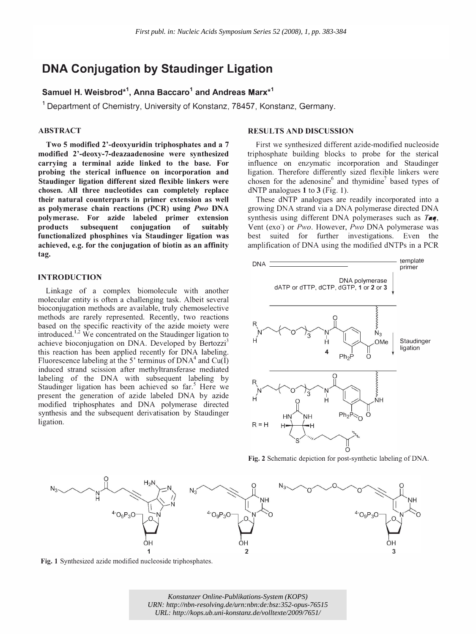# DNA Conjugation by Staudinger Ligation

# Samuel H. Weisbrod $^{\star1}$ , Anna Baccaro $^1$  and Andreas Marx $^{\star1}$

<sup>1</sup> Department of Chemistry, University of Konstanz, 78457, Konstanz, Germany.

### ABSTRACT

Two 5 modified 2'-deoxyuridin triphosphates and a 7 modified 2'-deoxy-7-deazaadenosine were synthesized carrying a terminal azide linked to the base. For probing the sterical influence on incorporation and Staudinger ligation different sized flexible linkers were chosen. All three nucleotides can completely replace their natural counterparts in primer extension as well as polymerase chain reactions (PCR) using Pwo DNA polymerase. For azide labeled primer extension products subsequent conjugation of suitably functionalized phosphines via Staudinger ligation was achieved, e.g. for the conjugation of biotin as an affinity tag.

## INTRODUCTION

Linkage of a complex biomolecule with another molecular entity is often a challenging task. Albeit several bioconjugation methods are available, truly chemoselective methods are rarely represented. Recently, two reactions based on the specific reactivity of the azide moiety were introduced.<sup>1,2</sup> We concentrated on the Staudinger ligation to achieve bioconjugation on DNA. Developed by Bertozzi<sup>3</sup> this reaction has been applied recently for DNA labeling. Fluorescence labeling at the 5' terminus of  $DNA<sup>4</sup>$  and  $Cu(I)$ induced strand scission after methyltransferase mediated labeling of the DNA with subsequent labeling by Staudinger ligation has been achieved so far.<sup>5</sup> Here we present the generation of azide labeled DNA by azide modified triphosphates and DNA polymerase directed synthesis and the subsequent derivatisation by Staudinger ligation.

### RESULTS AND DISCUSSION

First we synthesized different azide-modified nucleoside triphosphate building blocks to probe for the sterical influence on enzymatic incorporation and Staudinger ligation. Therefore differently sized flexible linkers were chosen for the adenosine<sup>6</sup> and thymidine<sup>7</sup> based types of dNTP analogues 1 to 3 (Fig. 1).

These dNTP analogues are readily incorporated into a growing DNA strand via a DNA polymerase directed DNA synthesis using different DNA polymerases such as Taq, Vent (exo) or  $Pwo$ . However,  $Pwo$  DNA polymerase was best suited for further investigations. Even the amplification of DNA using the modified dNTPs in a PCR



Fig. 2 Schematic depiction for post-synthetic labeling of DNA.



Fig. 1 Synthesized azide modified nucleoside triphosphates.

*Konstanzer Online-Publikations-System (KOPS) URN:<http://nbn-resolving.de/urn:nbn:de:bsz:352-opus-76515> URL:<http://kops.ub.uni-konstanz.de/volltexte/2009/7651/>*